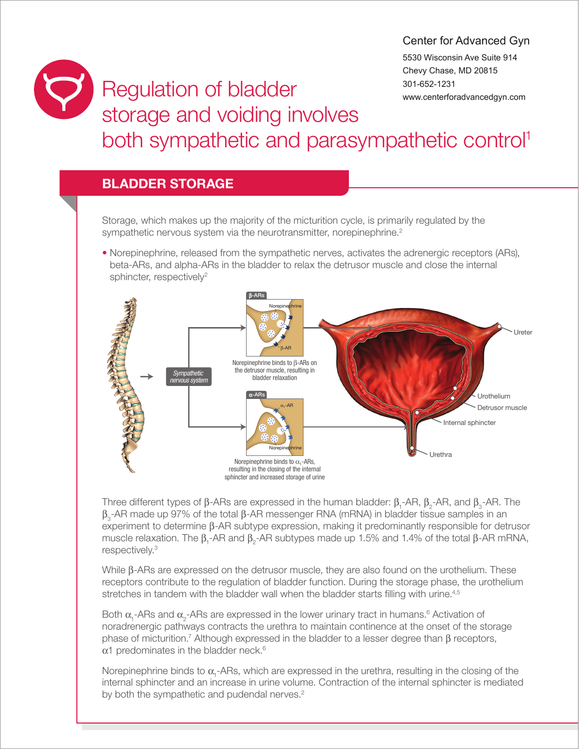## Center for Advanced Gyn

5530 Wisconsin Ave Suite 914 Chevy Chase, MD 20815 301-652-1231 www.centerforadvancedgyn.com

## Regulation of bladder storage and voiding involves both sympathetic and parasympathetic control<sup>1</sup>

## BLADDER STORAGE

Storage, which makes up the majority of the micturition cycle, is primarily regulated by the sympathetic nervous system via the neurotransmitter, norepinephrine.<sup>2</sup>

• Norepinephrine, released from the sympathetic nerves, activates the adrenergic receptors (ARs), beta-ARs, and alpha-ARs in the bladder to relax the detrusor muscle and close the internal sphincter, respectively<sup>2</sup>



Three different types of  $\beta$ -ARs are expressed in the human bladder:  $\beta_1$ -AR,  $\beta_2$ -AR, and  $\beta_3$ -AR. The  $\beta_{0}$ -AR made up 97% of the total  $\beta$ -AR messenger RNA (mRNA) in bladder tissue samples in an experiment to determine β-AR subtype expression, making it predominantly responsible for detrusor muscle relaxation. The  $\beta_1$ -AR and  $\beta_2$ -AR subtypes made up 1.5% and 1.4% of the total  $\beta$ -AR mRNA, respectively.3

While  $\beta$ -ARs are expressed on the detrusor muscle, they are also found on the urothelium. These receptors contribute to the regulation of bladder function. During the storage phase, the urothelium stretches in tandem with the bladder wall when the bladder starts filling with urine.<sup>4,5</sup>

Both  $\alpha_{1}$ -ARs and  $\alpha_{2}$ -ARs are expressed in the lower urinary tract in humans.<sup>6</sup> Activation of noradrenergic pathways contracts the urethra to maintain continence at the onset of the storage phase of micturition.<sup>7</sup> Although expressed in the bladder to a lesser degree than  $\beta$  receptors,  $\alpha$ 1 predominates in the bladder neck.<sup>6</sup>

Norepinephrine binds to  $\alpha_{1}$ -ARs, which are expressed in the urethra, resulting in the closing of the internal sphincter and an increase in urine volume. Contraction of the internal sphincter is mediated by both the sympathetic and pudendal nerves.<sup>2</sup>